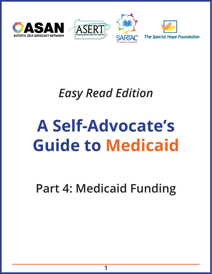





## *Easy Read Edition*

## **A Self-Advocate's Guide to Medicaid**

**Part 4: Medicaid Funding**

**1**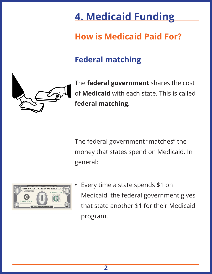### **4. Medicaid Funding**

#### **How is Medicaid Paid For?**

#### **Federal matching**



The **federal government** shares the cost of **Medicaid** with each state. This is called **federal matching**.

The federal government "matches" the money that states spend on Medicaid. In general:



• Every time a state spends \$1 on Medicaid, the federal government gives that state another \$1 for their Medicaid program.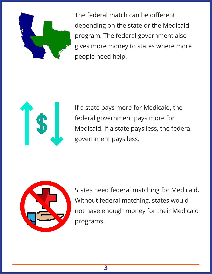

The federal match can be different depending on the state or the Medicaid program. The federal government also gives more money to states where more people need help.



If a state pays more for Medicaid, the federal government pays more for Medicaid. If a state pays less, the federal government pays less.



States need federal matching for Medicaid. Without federal matching, states would not have enough money for their Medicaid programs.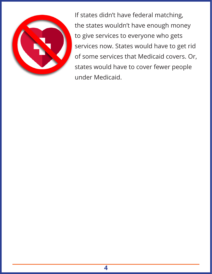

If states didn't have federal matching, the states wouldn't have enough money to give services to everyone who gets services now. States would have to get rid of some services that Medicaid covers. Or, states would have to cover fewer people under Medicaid.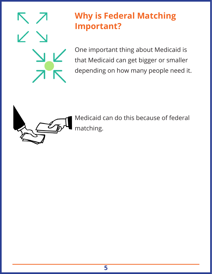#### **Why is Federal Matching Important?**

One important thing about Medicaid is that Medicaid can get bigger or smaller depending on how many people need it.



Medicaid can do this because of federal matching.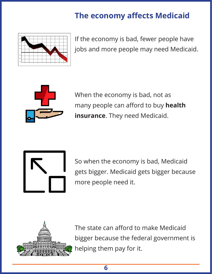#### **The economy affects Medicaid**



If the economy is bad, fewer people have jobs and more people may need Medicaid.



When the economy is bad, not as many people can afford to buy **health insurance**. They need Medicaid.



So when the economy is bad, Medicaid gets bigger. Medicaid gets bigger because more people need it.



The state can afford to make Medicaid bigger because the federal government is helping them pay for it.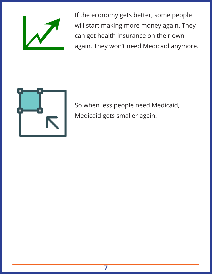

If the economy gets better, some people will start making more money again. They can get health insurance on their own again. They won't need Medicaid anymore.



So when less people need Medicaid, Medicaid gets smaller again.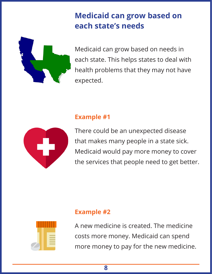#### **Medicaid can grow based on each state's needs**



Medicaid can grow based on needs in each state. This helps states to deal with health problems that they may not have expected.

#### **Example #1**



There could be an unexpected disease that makes many people in a state sick. Medicaid would pay more money to cover the services that people need to get better.

#### **Example #2**

A new medicine is created. The medicine costs more money. Medicaid can spend more money to pay for the new medicine.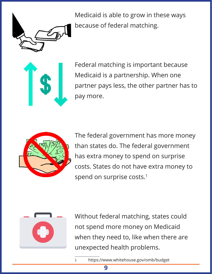

Medicaid is able to grow in these ways because of federal matching.



Federal matching is important because Medicaid is a partnership. When one partner pays less, the other partner has to pay more.



The federal government has more money than states do. The federal government has extra money to spend on surprise costs. States do not have extra money to spend on surprise costs.<sup>1</sup>



Without federal matching, states could not spend more money on Medicaid when they need to, like when there are unexpected health problems.

<sup>1</sup> https://www.whitehouse.gov/omb/budget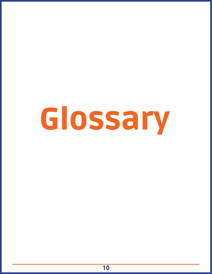# Glossary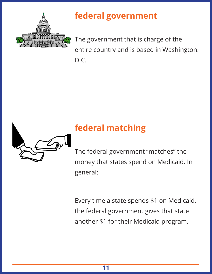

#### **federal government**

The government that is charge of the entire country and is based in Washington. D.C.



#### **federal matching**

The federal government "matches" the money that states spend on Medicaid. In general:

Every time a state spends \$1 on Medicaid, the federal government gives that state another \$1 for their Medicaid program.